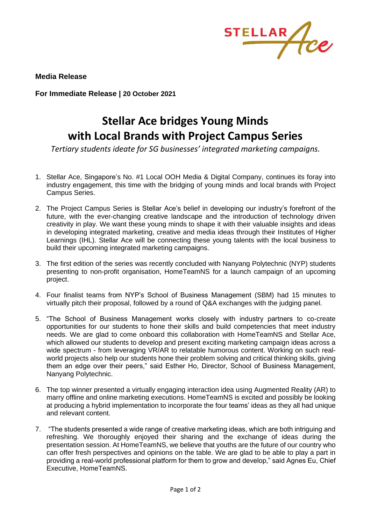

**Media Release**

**For Immediate Release | 20 October 2021**

## **Stellar Ace bridges Young Minds with Local Brands with Project Campus Series**

*Tertiary students ideate for SG businesses' integrated marketing campaigns.*

- 1. Stellar Ace, Singapore's No. #1 Local OOH Media & Digital Company, continues its foray into industry engagement, this time with the bridging of young minds and local brands with Project Campus Series.
- 2. The Project Campus Series is Stellar Ace's belief in developing our industry's forefront of the future, with the ever-changing creative landscape and the introduction of technology driven creativity in play. We want these young minds to shape it with their valuable insights and ideas in developing integrated marketing, creative and media ideas through their Institutes of Higher Learnings (IHL). Stellar Ace will be connecting these young talents with the local business to build their upcoming integrated marketing campaigns.
- 3. The first edition of the series was recently concluded with Nanyang Polytechnic (NYP) students presenting to non-profit organisation, HomeTeamNS for a launch campaign of an upcoming project.
- 4. Four finalist teams from NYP's School of Business Management (SBM) had 15 minutes to virtually pitch their proposal, followed by a round of Q&A exchanges with the judging panel.
- 5. "The School of Business Management works closely with industry partners to co-create opportunities for our students to hone their skills and build competencies that meet industry needs. We are glad to come onboard this collaboration with HomeTeamNS and Stellar Ace, which allowed our students to develop and present exciting marketing campaign ideas across a wide spectrum - from leveraging VR/AR to relatable humorous content. Working on such realworld projects also help our students hone their problem solving and critical thinking skills, giving them an edge over their peers," said Esther Ho, Director, School of Business Management, Nanyang Polytechnic.
- 6. The top winner presented a virtually engaging interaction idea using Augmented Reality (AR) to marry offline and online marketing executions. HomeTeamNS is excited and possibly be looking at producing a hybrid implementation to incorporate the four teams' ideas as they all had unique and relevant content.
- 7. "The students presented a wide range of creative marketing ideas, which are both intriguing and refreshing. We thoroughly enjoyed their sharing and the exchange of ideas during the presentation session. At HomeTeamNS, we believe that youths are the future of our country who can offer fresh perspectives and opinions on the table. We are glad to be able to play a part in providing a real-world professional platform for them to grow and develop," said Agnes Eu, Chief Executive, HomeTeamNS.